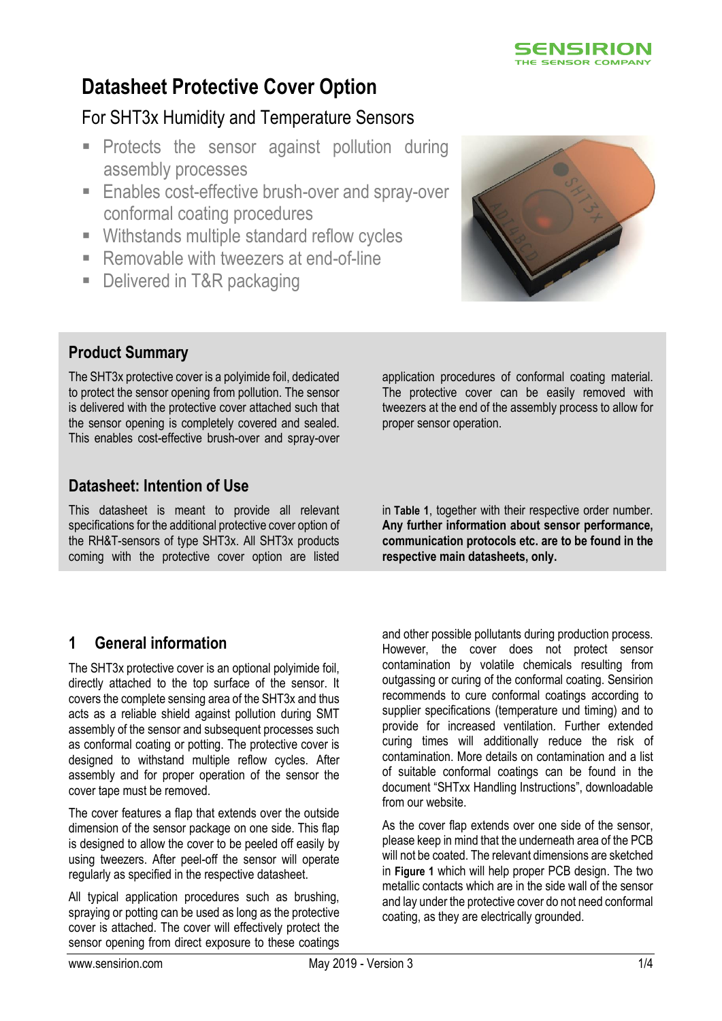

# **Datasheet Protective Cover Option**

# For SHT3x Humidity and Temperature Sensors

- **Protects the sensor against pollution during** assembly processes
- **Enables cost-effective brush-over and spray-over** conformal coating procedures
- **Withstands multiple standard reflow cycles**
- Removable with tweezers at end-of-line
- Delivered in T&R packaging



# **Product Summary**

The SHT3x protective cover is a polyimide foil, dedicated to protect the sensor opening from pollution. The sensor is delivered with the protective cover attached such that the sensor opening is completely covered and sealed. This enables cost-effective brush-over and spray-over

# **Datasheet: Intention of Use**

This datasheet is meant to provide all relevant specifications for the additional protective cover option of the RH&T-sensors of type SHT3x. All SHT3x products coming with the protective cover option are listed application procedures of conformal coating material. The protective cover can be easily removed with tweezers at the end of the assembly process to allow for proper sensor operation.

in **[Table 1](#page-1-0)**, together with their respective order number. **Any further information about sensor performance, communication protocols etc. are to be found in the respective main datasheets, only.**

# **1 General information**

The SHT3x protective cover is an optional polyimide foil, directly attached to the top surface of the sensor. It covers the complete sensing area of the SHT3x and thus acts as a reliable shield against pollution during SMT assembly of the sensor and subsequent processes such as conformal coating or potting. The protective cover is designed to withstand multiple reflow cycles. After assembly and for proper operation of the sensor the cover tape must be removed.

The cover features a flap that extends over the outside dimension of the sensor package on one side. This flap is designed to allow the cover to be peeled off easily by using tweezers. After peel-off the sensor will operate regularly as specified in the respective datasheet.

All typical application procedures such as brushing, spraying or potting can be used as long as the protective cover is attached. The cover will effectively protect the sensor opening from direct exposure to these coatings

and other possible pollutants during production process. However, the cover does not protect sensor contamination by volatile chemicals resulting from outgassing or curing of the conformal coating. Sensirion recommends to cure conformal coatings according to supplier specifications (temperature und timing) and to provide for increased ventilation. Further extended curing times will additionally reduce the risk of contamination. More details on contamination and a list of suitable conformal coatings can be found in the document "SHTxx Handling Instructions", downloadable from our website.

As the cover flap extends over one side of the sensor, please keep in mind that the underneath area of the PCB will not be coated. The relevant dimensions are sketched in **[Figure 1](#page-1-1)** which will help proper PCB design. The two metallic contacts which are in the side wall of the sensor and lay under the protective cover do not need conformal coating, as they are electrically grounded.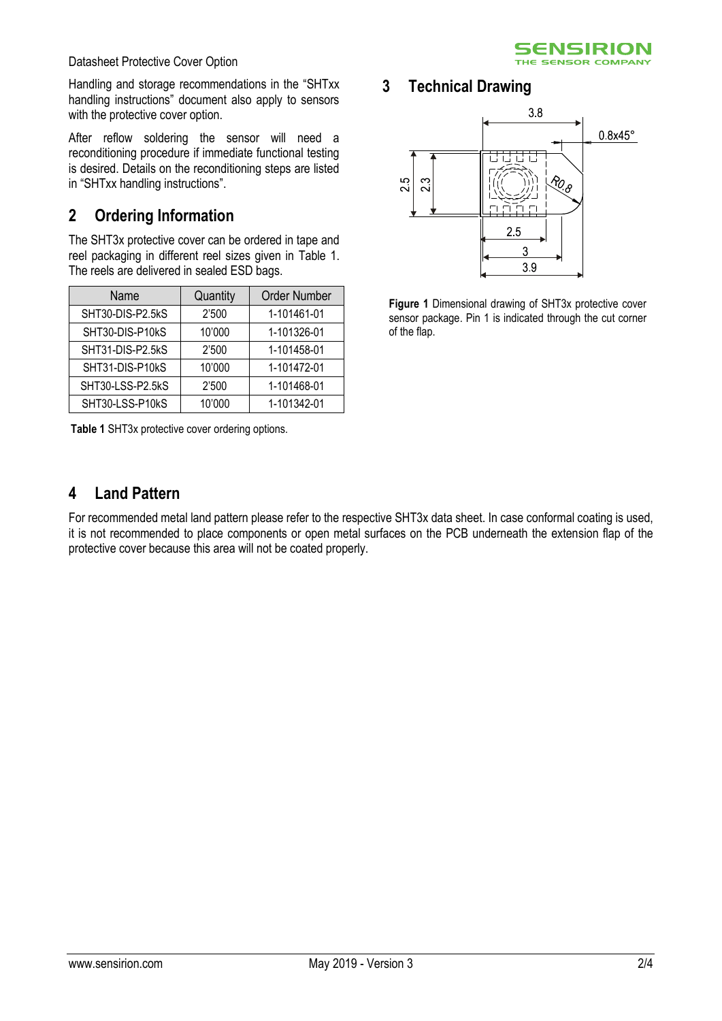

Datasheet Protective Cover Option

Handling and storage recommendations in the "SHTxx handling instructions" document also apply to sensors with the protective cover option.

After reflow soldering the sensor will need a reconditioning procedure if immediate functional testing is desired. Details on the reconditioning steps are listed in "SHTxx handling instructions".

# **2 Ordering Information**

The SHT3x protective cover can be ordered in tape and reel packaging in different reel sizes given in [Table 1.](#page-1-0)  The reels are delivered in sealed ESD bags.

| Name             | Quantity | <b>Order Number</b> |
|------------------|----------|---------------------|
| SHT30-DIS-P2.5kS | 2'500    | 1-101461-01         |
| SHT30-DIS-P10kS  | 10'000   | 1-101326-01         |
| SHT31-DIS-P2.5kS | 2'500    | 1-101458-01         |
| SHT31-DIS-P10kS  | 10'000   | 1-101472-01         |
| SHT30-LSS-P2.5kS | 2'500    | 1-101468-01         |
| SHT30-LSS-P10kS  | 10'000   | 1-101342-01         |

<span id="page-1-0"></span>**Table 1** SHT3x protective cover ordering options.

# **3 Technical Drawing**



<span id="page-1-1"></span>**Figure 1** Dimensional drawing of SHT3x protective cover sensor package. Pin 1 is indicated through the cut corner of the flap.

# **4 Land Pattern**

For recommended metal land pattern please refer to the respective SHT3x data sheet. In case conformal coating is used, it is not recommended to place components or open metal surfaces on the PCB underneath the extension flap of the protective cover because this area will not be coated properly.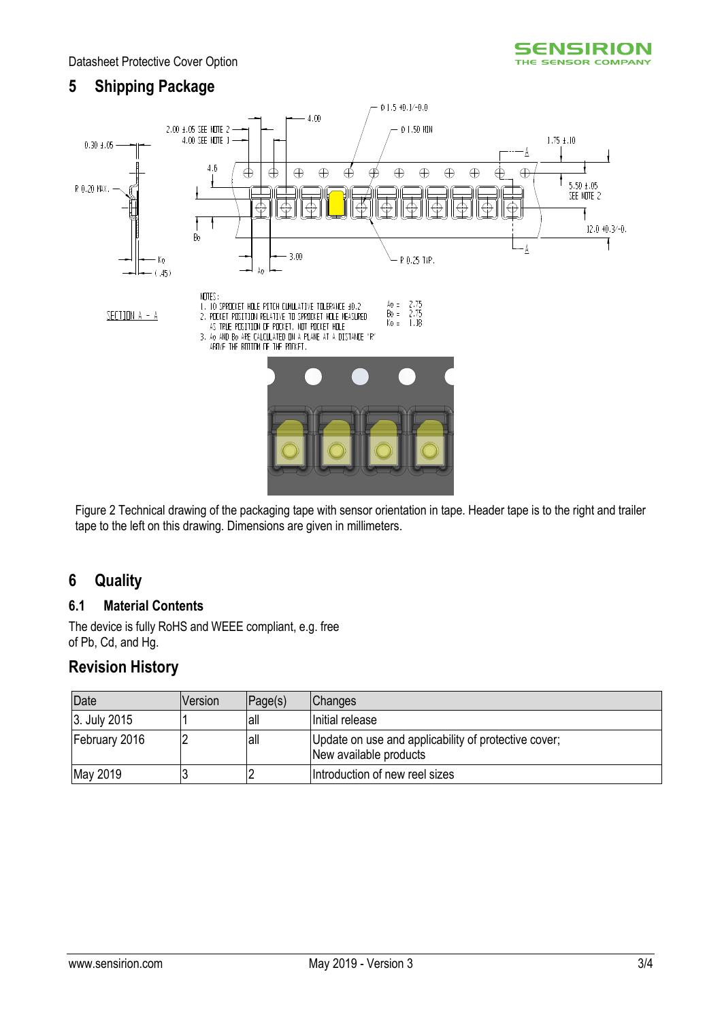# **5 Shipping Package**



Figure 2 Technical drawing of the packaging tape with sensor orientation in tape. Header tape is to the right and trailer tape to the left on this drawing. Dimensions are given in millimeters.

### **6 Quality**

### **6.1 Material Contents**

The device is fully RoHS and WEEE compliant, e.g. free of Pb, Cd, and Hg.

### **Revision History**

| Date          | Version | Page(s) | <b>Changes</b>                                                                 |
|---------------|---------|---------|--------------------------------------------------------------------------------|
| 3. July 2015  |         | lall    | Initial release                                                                |
| February 2016 |         | lall    | Update on use and applicability of protective cover;<br>New available products |
| May 2019      |         |         | Introduction of new reel sizes                                                 |